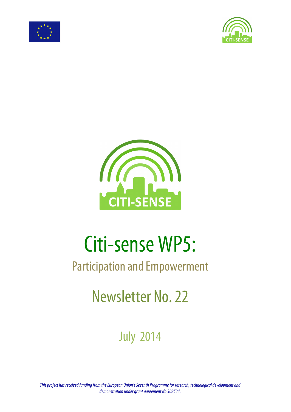





# Citi-sense WP5:

## Participation and Empowerment

# Newsletter No. 22

## July 2014

*This project has received funding from the European Union's Seventh Programme for research, technological development and demonstration under grant agreement No 308524.*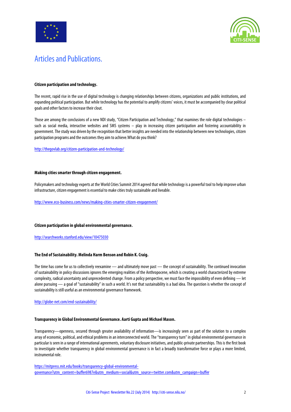



### Articles and Publications.

#### **Citizen participation and technology.**

The recent, rapid rise in the use of digital technology is changing relationships between citizens, organizations and public institutions, and expanding political participation. But while technology has the potential to amplify citizens' voices, it must be accompaniedby clear political goals and other factors to increase their clout.

Those are among the conclusions of a new NDI study, "Citizen Participation and Technology," that examines the role digital technologies – such as social media, interactive websites and SMS systems – play in increasing citizen participation and fostering accountability in government. The study was driven by the recognition that better insights are needed into the relationship between new technologies, citizen participation programs and the outcomes they aim to achieve. What do you think?

http://thegovlab.org/citizen-participation-and-technology/

#### **Making cities smarter through citizen engagement.**

Policymakers and technology experts at the World Cities Summit 2014 agreed that while technology is a powerful tool to help improve urban infrastructure, citizen engagement is essential to make cities truly sustainable and liveable.

http://www.eco-business.com/news/making-cities-smarter-citizen-engagement/

#### **Citizen participation in global environmental governance.**

http://searchworks.stanford.edu/view/10475030

#### **The End of Sustainability. Melinda Harm Benson and Robin K. Craig.**

The time has come for us to collectively reexamine — and ultimately move past — the concept of sustainability. The continued invocation of sustainability in policy discussions ignores the emerging realities of the Anthropocene, which is creating a world characterized by extreme complexity, radical uncertainty and unprecedented change. From a policy perspective, we must face the impossibility of even defining — let alone pursuing — a goal of "sustainability" in such a world. It's not that sustainability is a bad idea. The question is whether the concept of sustainability is still useful as an environmental governance framework.

http://globe-net.com/end-sustainability/

#### **Transparency in Global Environmental Governance. Aarti Gupta and Michael Mason.**

Transparency—openness, secured through greater availability of information—is increasingly seen as part of the solution to a complex array of economic, political, and ethical problems in an interconnected world. The "transparency turn" in global environmental governance in particular is seen in a range of international agreements, voluntary disclosure initiatives, and public-private partnerships. This is the first book to investigate whether transparency in global environmental governance is in fact a broadly transformative force or plays a more limited, instrumental role.

https://mitpress.mit.edu/books/transparency-global-environmentalgovernance?utm\_content=buffer6987e&utm\_medium=social&utm\_source=twitter.com&utm\_campaign=buffer